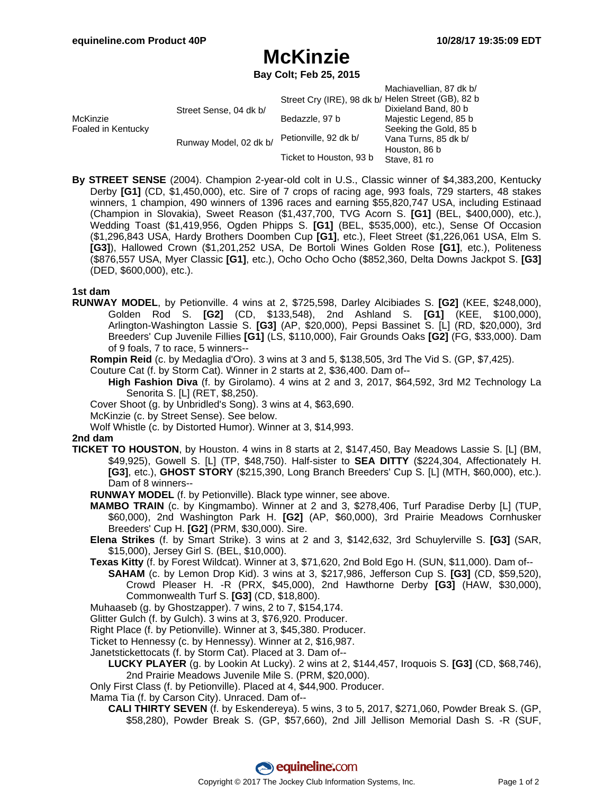## **McKinzie**

**Bay Colt; Feb 25, 2015**

|                                |                        |                                                    | Machiavellian, 87 dk b/ |
|--------------------------------|------------------------|----------------------------------------------------|-------------------------|
| McKinzie<br>Foaled in Kentucky | Street Sense, 04 dk b/ | Street Cry (IRE), 98 dk b/ Helen Street (GB), 82 b |                         |
|                                |                        |                                                    | Dixieland Band, 80 b    |
|                                |                        | Bedazzle, 97 b                                     | Majestic Legend, 85 b   |
|                                | Runway Model, 02 dk b/ | Petionville, 92 dk b/                              | Seeking the Gold, 85 b  |
|                                |                        |                                                    | Vana Turns, 85 dk b/    |
|                                |                        |                                                    | Houston, 86 b           |
|                                |                        | Ticket to Houston, 93 b                            | Stave, 81 ro            |
|                                |                        |                                                    |                         |

**By STREET SENSE** (2004). Champion 2-year-old colt in U.S., Classic winner of \$4,383,200, Kentucky Derby **[G1]** (CD, \$1,450,000), etc. Sire of 7 crops of racing age, 993 foals, 729 starters, 48 stakes winners, 1 champion, 490 winners of 1396 races and earning \$55,820,747 USA, including Estinaad (Champion in Slovakia), Sweet Reason (\$1,437,700, TVG Acorn S. **[G1]** (BEL, \$400,000), etc.), Wedding Toast (\$1,419,956, Ogden Phipps S. **[G1]** (BEL, \$535,000), etc.), Sense Of Occasion (\$1,296,843 USA, Hardy Brothers Doomben Cup **[G1]**, etc.), Fleet Street (\$1,226,061 USA, Elm S. **[G3]**), Hallowed Crown (\$1,201,252 USA, De Bortoli Wines Golden Rose **[G1]**, etc.), Politeness (\$876,557 USA, Myer Classic **[G1]**, etc.), Ocho Ocho Ocho (\$852,360, Delta Downs Jackpot S. **[G3]** (DED, \$600,000), etc.).

#### **1st dam**

- **RUNWAY MODEL**, by Petionville. 4 wins at 2, \$725,598, Darley Alcibiades S. **[G2]** (KEE, \$248,000), Golden Rod S. **[G2]** (CD, \$133,548), 2nd Ashland S. **[G1]** (KEE, \$100,000), Arlington-Washington Lassie S. **[G3]** (AP, \$20,000), Pepsi Bassinet S. [L] (RD, \$20,000), 3rd Breeders' Cup Juvenile Fillies **[G1]** (LS, \$110,000), Fair Grounds Oaks **[G2]** (FG, \$33,000). Dam of 9 foals, 7 to race, 5 winners--
	- **Rompin Reid** (c. by Medaglia d'Oro). 3 wins at 3 and 5, \$138,505, 3rd The Vid S. (GP, \$7,425).
	- Couture Cat (f. by Storm Cat). Winner in 2 starts at 2, \$36,400. Dam of--

**High Fashion Diva** (f. by Girolamo). 4 wins at 2 and 3, 2017, \$64,592, 3rd M2 Technology La Senorita S. [L] (RET, \$8,250).

- Cover Shoot (g. by Unbridled's Song). 3 wins at 4, \$63,690.
- McKinzie (c. by Street Sense). See below.
- Wolf Whistle (c. by Distorted Humor). Winner at 3, \$14,993.

#### **2nd dam**

- **TICKET TO HOUSTON**, by Houston. 4 wins in 8 starts at 2, \$147,450, Bay Meadows Lassie S. [L] (BM, \$49,925), Gowell S. [L] (TP, \$48,750). Half-sister to **SEA DITTY** (\$224,304, Affectionately H. **[G3]**, etc.), **GHOST STORY** (\$215,390, Long Branch Breeders' Cup S. [L] (MTH, \$60,000), etc.). Dam of 8 winners--
	- **RUNWAY MODEL** (f. by Petionville). Black type winner, see above.
	- **MAMBO TRAIN** (c. by Kingmambo). Winner at 2 and 3, \$278,406, Turf Paradise Derby [L] (TUP, \$60,000), 2nd Washington Park H. **[G2]** (AP, \$60,000), 3rd Prairie Meadows Cornhusker Breeders' Cup H. **[G2]** (PRM, \$30,000). Sire.
	- **Elena Strikes** (f. by Smart Strike). 3 wins at 2 and 3, \$142,632, 3rd Schuylerville S. **[G3]** (SAR, \$15,000), Jersey Girl S. (BEL, \$10,000).
	- **Texas Kitty** (f. by Forest Wildcat). Winner at 3, \$71,620, 2nd Bold Ego H. (SUN, \$11,000). Dam of--
		- **SAHAM** (c. by Lemon Drop Kid). 3 wins at 3, \$217,986, Jefferson Cup S. **[G3]** (CD, \$59,520), Crowd Pleaser H. -R (PRX, \$45,000), 2nd Hawthorne Derby **[G3]** (HAW, \$30,000), Commonwealth Turf S. **[G3]** (CD, \$18,800).
	- Muhaaseb (g. by Ghostzapper). 7 wins, 2 to 7, \$154,174.
	- Glitter Gulch (f. by Gulch). 3 wins at 3, \$76,920. Producer.
	- Right Place (f. by Petionville). Winner at 3, \$45,380. Producer.
	- Ticket to Hennessy (c. by Hennessy). Winner at 2, \$16,987.
	- Janetstickettocats (f. by Storm Cat). Placed at 3. Dam of--
		- **LUCKY PLAYER** (g. by Lookin At Lucky). 2 wins at 2, \$144,457, Iroquois S. **[G3]** (CD, \$68,746), 2nd Prairie Meadows Juvenile Mile S. (PRM, \$20,000).
	- Only First Class (f. by Petionville). Placed at 4, \$44,900. Producer.
	- Mama Tia (f. by Carson City). Unraced. Dam of--
		- **CALI THIRTY SEVEN** (f. by Eskendereya). 5 wins, 3 to 5, 2017, \$271,060, Powder Break S. (GP, \$58,280), Powder Break S. (GP, \$57,660), 2nd Jill Jellison Memorial Dash S. -R (SUF,